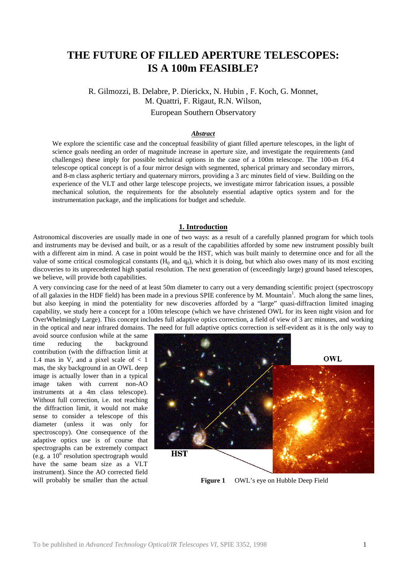# **THE FUTURE OF FILLED APERTURE TELESCOPES: IS A 100m FEASIBLE?**

R. Gilmozzi, B. Delabre, P. Dierickx, N. Hubin , F. Koch, G. Monnet, M. Quattri, F. Rigaut, R.N. Wilson, European Southern Observatory

#### *Abstract*

We explore the scientific case and the conceptual feasibility of giant filled aperture telescopes, in the light of science goals needing an order of magnitude increase in aperture size, and investigate the requirements (and challenges) these imply for possible technical options in the case of a 100m telescope. The 100-m f/6.4 telescope optical concept is of a four mirror design with segmented, spherical primary and secondary mirrors, and 8-m class aspheric tertiary and quaternary mirrors, providing a 3 arc minutes field of view. Building on the experience of the VLT and other large telescope projects, we investigate mirror fabrication issues, a possible mechanical solution, the requirements for the absolutely essential adaptive optics system and for the instrumentation package, and the implications for budget and schedule.

## **1. Introduction**

Astronomical discoveries are usually made in one of two ways: as a result of a carefully planned program for which tools and instruments may be devised and built, or as a result of the capabilities afforded by some new instrument possibly built with a different aim in mind. A case in point would be the HST, which was built mainly to determine once and for all the value of some critical cosmological constants  $(H_0$  and  $q_0)$ , which it is doing, but which also owes many of its most exciting discoveries to its unprecedented high spatial resolution. The next generation of (exceedingly large) ground based telescopes, we believe, will provide both capabilities.

A very convincing case for the need of at least 50m diameter to carry out a very demanding scientific project (spectroscopy of all galaxies in the HDF field) has been made in a previous SPIE conference by M. Mountain<sup>1</sup>. Much along the same lines, but also keeping in mind the potentiality for new discoveries afforded by a "large" quasi-diffraction limited imaging capability, we study here a concept for a 100m telescope (which we have christened OWL for its keen night vision and for OverWhelmingly Large). This concept includes full adaptive optics correction, a field of view of 3 arc minutes, and working in the optical and near infrared domains. The need for full adaptive optics correction is self-evident as it is the only way to

avoid source confusion while at the same time reducing the background contribution (with the diffraction limit at 1.4 mas in V, and a pixel scale of  $< 1$ mas, the sky background in an OWL deep image is actually lower than in a typical image taken with current non-AO instruments at a 4m class telescope). Without full correction, i.e. not reaching the diffraction limit, it would not make sense to consider a telescope of this diameter (unless it was only for spectroscopy). One consequence of the adaptive optics use is of course that spectrographs can be extremely compact (e.g. a  $10^6$  resolution spectrograph would have the same beam size as a VLT instrument). Since the AO corrected field will probably be smaller than the actual **Figure 1** OWL's eye on Hubble Deep Field

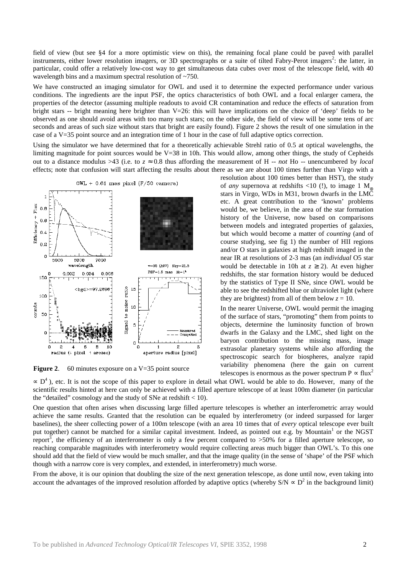field of view (but see §4 for a more optimistic view on this), the remaining focal plane could be paved with parallel instruments, either lower resolution imagers, or 3D spectrographs or a suite of tilted Fabry-Perot imagers<sup>2</sup>: the latter, in particular, could offer a relatively low-cost way to get simultaneous data cubes over most of the telescope field, with 40 wavelength bins and a maximum spectral resolution of  $\sim$ 750.

We have constructed an imaging simulator for OWL and used it to determine the expected performance under various conditions. The ingredients are the input PSF, the optics characteristics of both OWL and a focal enlarger camera, the properties of the detector (assuming multiple readouts to avoid CR contamination and reduce the effects of saturation from bright stars -- bright meaning here brighter than  $V=26$ : this will have implications on the choice of 'deep' fields to be observed as one should avoid areas with too many such stars; on the other side, the field of view will be some tens of arc seconds and areas of such size without stars that bright are easily found). Figure 2 shows the result of one simulation in the case of a V=35 point source and an integration time of 1 hour in the case of full adaptive optics correction.

Using the simulator we have determined that for a theoretically achievable Strehl ratio of 0.5 at optical wavelengths, the limiting magnitude for point sources would be V=38 in 10h. This would allow, among other things, the study of Cepheids out to a distance modulus >43 (i.e. to  $z \approx 0.8$  thus affording the measurement of H -- *not* Ho -- unencumbered by *local* effects; note that confusion will start affecting the results about there as we are about 100 times further than Virgo with a



**Figure 2.** 60 minutes exposure on a V=35 point source

resolution about 100 times better than HST), the study of *any* supernova at redshifts <10 (!), to image 1  $M_{\odot}$ stars in Virgo, WDs in M31, brown dwarfs in the LMC etc. A great contribution to the 'known' problems would be, we believe, in the area of the star formation history of the Universe, now based on comparisons between models and integrated properties of galaxies, but which would become a matter of *counting* (and of course studying, see fig 1) the number of HII regions and/or O stars in galaxies at high redshift imaged in the near IR at resolutions of 2-3 mas (an *individual* O5 star would be detectable in 10h at  $z \ge 2$ ). At even higher redshifts, the star formation history would be deduced by the statistics of Type II SNe, since OWL would be able to see the redshifted blue or ultraviolet light (where they are brightest) from all of them below  $z = 10$ .

In the nearer Universe, OWL would permit the imaging of the surface of stars, "promoting" them from points to objects, determine the luminosity function of brown dwarfs in the Galaxy and the LMC, shed light on the baryon contribution to the missing mass, image extrasolar planetary systems while also affording the spectroscopic search for biospheres, analyze rapid variability phenomena (here the gain on current telescopes is enormous as the power spectrum  $P \propto \text{flux}^2$ 

 $\sim D^4$ ), etc. It is not the scope of this paper to explore in detail what OWL would be able to do. However, many of the scientific results hinted at here can only be achieved with a filled aperture telescope of at least 100m diameter (in particular the "detailed" cosmology and the study of SNe at redshift  $< 10$ ).

One question that often arises when discussing large filled aperture telescopes is whether an interferometric array would achieve the same results. Granted that the resolution can be equaled by interferometry (or indeed surpassed for larger baselines), the sheer collecting power of a 100m telescope (with an area 10 times that of *every* optical telescope ever built put together) cannot be matched for a similar capital investment. Indeed, as pointed out e.g. by Mountain<sup>1</sup> or the NGST report<sup>3</sup>, the efficiency of an interferometer is only a few percent compared to >50% for a filled aperture telescope, so reaching comparable magnitudes with interferometry would require collecting areas much bigger than OWL's. To this one should add that the field of view would be much smaller, and that the image quality (in the sense of 'shape' of the PSF which though with a narrow core is very complex, and extended, in interferometry) much worse.

From the above, it is our opinion that doubling the size of the next generation telescope, as done until now, even taking into account the advantages of the improved resolution afforded by adaptive optics (whereby  $S/N \propto D^2$  in the background limit)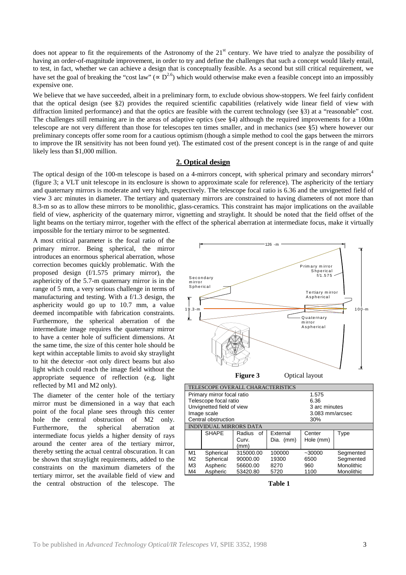does not appear to fit the requirements of the Astronomy of the 21<sup>st</sup> century. We have tried to analyze the possibility of having an order-of-magnitude improvement, in order to try and define the challenges that such a concept would likely entail, to test, in fact, whether we can achieve a design that is conceptually feasible. As a second but still critical requirement, we have set the goal of breaking the "cost law" ( $\propto D^{2.6}$ ) which would otherwise make even a feasible concept into an impossibly expensive one.

We believe that we have succeeded, albeit in a preliminary form, to exclude obvious show-stoppers. We feel fairly confident that the optical design (see §2) provides the required scientific capabilities (relatively wide linear field of view with diffraction limited performance) and that the optics are feasible with the current technology (see §3) at a "reasonable" cost. The challenges still remaining are in the areas of adaptive optics (see §4) although the required improvements for a 100m telescope are not very different than those for telescopes ten times smaller, and in mechanics (see §5) where however our preliminary concepts offer some room for a cautious optimism (though a simple method to cool the gaps between the mirrors to improve the IR sensitivity has not been found yet). The estimated cost of the present concept is in the range of and quite likely less than \$1,000 million.

# **2. Optical design**

The optical design of the 100-m telescope is based on a 4-mirrors concept, with spherical primary and secondary mirrors<sup>4</sup> (figure 3; a VLT unit telescope in its enclosure is shown to approximate scale for reference). The asphericity of the tertiary and quaternary mirrors is moderate and very high, respectively. The telescope focal ratio is 6.36 and the unvignetted field of view 3 arc minutes in diameter. The tertiary and quaternary mirrors are constrained to having diameters of not more than 8.3-m so as to allow these mirrors to be monolithic, glass-ceramics. This constraint has major implications on the available field of view, asphericity of the quaternary mirror, vignetting and straylight. It should be noted that the field offset of the light beams on the tertiary mirror, together with the effect of the spherical aberration at intermediate focus, make it virtually impossible for the tertiary mirror to be segmented.

A most critical parameter is the focal ratio of the primary mirror. Being spherical, the mirror introduces an enormous spherical aberration, whose correction becomes quickly problematic. With the proposed design (f/1.575 primary mirror), the asphericity of the 5.7-m quaternary mirror is in the range of 5 mm, a very serious challenge in terms of manufacturing and testing. With a f/1.3 design, the asphericity would go up to 10.7 mm, a value deemed incompatible with fabrication constraints. Furthermore, the spherical aberration of the intermediate image requires the quaternary mirror to have a center hole of sufficient dimensions. At the same time, the size of this center hole should be kept within acceptable limits to avoid sky straylight to hit the detector -not only direct beams but also light which could reach the image field without the appropriate sequence of reflection (e.g. light reflected by M1 and M2 only).

The diameter of the center hole of the tertiary mirror must be dimensioned in a way that each point of the focal plane sees through this center hole the central obstruction of M2 only. Furthermore, the spherical aberration at intermediate focus yields a higher density of rays around the center area of the tertiary mirror, thereby setting the actual central obscuration. It can be shown that straylight requirements, added to the constraints on the maximum diameters of the tertiary mirror, set the available field of view and the central obstruction of the telescope. The



**Table 1**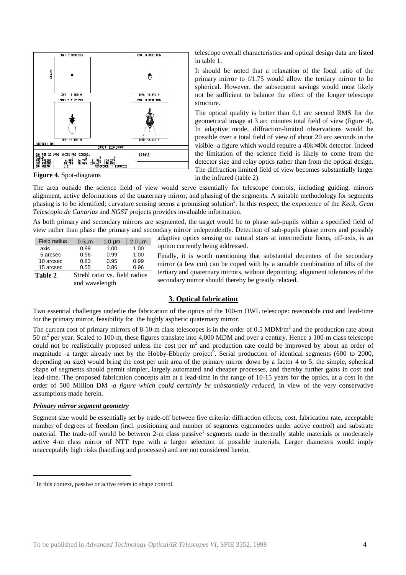

**Figure 4**. Spot-diagrams

telescope overall characteristics and optical design data are listed in table 1.

It should be noted that a relaxation of the focal ratio of the primary mirror to f/1.75 would allow the tertiary mirror to be spherical. However, the subsequent savings would most likely not be sufficient to balance the effect of the longer telescope structure.

The optical quality is better than 0.1 arc second RMS for the geometrical image at 3 arc minutes total field of view (figure 4). In adaptive mode, diffraction-limited observations would be possible over a total field of view of about 20 arc seconds in the visible -a figure which would require a 40k×40k detector. Indeed the limitation of the science field is likely to come from the detector size and relay optics rather than from the optical design. The diffraction limited field of view becomes substantially larger in the infrared (table 2).

The area outside the science field of view would serve essentially for telescope controls, including guiding, mirrors alignment, active deformations of the quaternary mirror, and phasing of the segments. A suitable methodology for segments phasing is to be identified; curvature sensing seems a promising solution 5 . In this respect, the experience of the *Keck*, *Gran Telescopio de Canarias* and *NGST* projects provides invaluable information.

As both primary and secondary mirrors are segmented, the target would be to phase sub-pupils within a specified field of view rather than phase the primary and secondary mirror independently. Detection of sub-pupils phase errors and possibly

| <b>Field radius</b>                      | $0.5 \mu m$ | $1.0 \mu m$ | $2.0 \mu m$ |  |
|------------------------------------------|-------------|-------------|-------------|--|
| axis                                     | 0.99        | 1.00        | 1.00        |  |
| 5 arcsec                                 | 0.96        | 0.99        | 1.00        |  |
| 10 arcsec                                | 0.83        | 0.95        | 0.99        |  |
| 15 arcsec                                | 0.55        | 0.86        | 0.96        |  |
| Table 2<br>Strehl ratio vs. field radius |             |             |             |  |

and wavelength

adaptive optics sensing on natural stars at intermediate focus, off-axis, is an option currently being addressed.

Finally, it is worth mentioning that substantial decenters of the secondary mirror (a few cm) can be coped with by a suitable combination of tilts of the tertiary and quaternary mirrors, without depointing; alignment tolerances of the secondary mirror should thereby be greatly relaxed.

# **3. Optical fabrication**

Two essential challenges underlie the fabrication of the optics of the 100-m OWL telescope: reasonable cost and lead-time for the primary mirror, feasibility for the highly aspheric quaternary mirror.

The current cost of primary mirrors of 8-10-m class telescopes is in the order of 0.5 MDM/ $m<sup>2</sup>$  and the production rate about 50 m<sup>2</sup> per year. Scaled to 100-m, these figures translate into 4,000 MDM and over a century. Hence a 100-m class telescope could not be realistically proposed unless the cost per  $m<sup>2</sup>$  and production rate could be improved by about an order of magnitude -a target already met by the Hobby-Ebberly project<sup>6</sup>. Serial production of identical segments (600 to 2000, depending on size) would bring the cost per unit area of the primary mirror down by a factor 4 to 5; the simple, spherical shape of segments should permit simpler, largely automated and cheaper processes, and thereby further gains in cost and lead-time. The proposed fabrication concepts aim at a lead-time in the range of 10-15 years for the optics, at a cost in the order of 500 Million DM -*a figure which could certainly be substantially reduced*, in view of the very conservative assumptions made herein.

## *Primary mirror segment geometry*

l

Segment size would be essentially set by trade-off between five criteria: diffraction effects, cost, fabrication rate, acceptable number of degrees of freedom (incl. positioning and number of segments eigenmodes under active control) and substrate material. The trade-off would be between 2-m class passive<sup>1</sup> segments made in thermally stable materials or moderately active 4-m class mirror of NTT type with a larger selection of possible materials. Larger diameters would imply unacceptably high risks (handling and processes) and are not considered herein.

<sup>&</sup>lt;sup>1</sup> In this context, passive or active refers to shape control.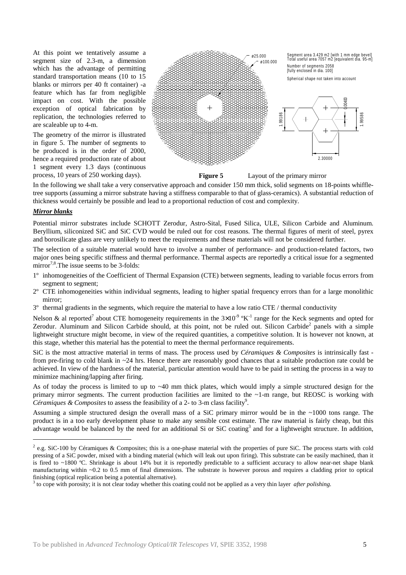At this point we tentatively assume a segment size of 2.3-m, a dimension which has the advantage of permitting standard transportation means (10 to 15 blanks or mirrors per 40 ft container) -a feature which has far from negligible impact on cost. With the possible exception of optical fabrication by replication, the technologies referred to are scaleable up to 4-m.

The geometry of the mirror is illustrated in figure 5. The number of segments to be produced is in the order of 2000, hence a required production rate of about 1 segment every 1.3 days (continuous process, 10 years of 250 working days).



**Figure 5** Layout of the primary mirror

In the following we shall take a very conservative approach and consider 150 mm thick, solid segments on 18-points whiffletree supports (assuming a mirror substrate having a stiffness comparable to that of glass-ceramics). A substantial reduction of thickness would certainly be possible and lead to a proportional reduction of cost and complexity.

#### *Mirror blanks*

-

Potential mirror substrates include SCHOTT Zerodur, Astro-Sital, Fused Silica, ULE, Silicon Carbide and Aluminum. Beryllium, siliconized SiC and SiC CVD would be ruled out for cost reasons. The thermal figures of merit of steel, pyrex and borosilicate glass are very unlikely to meet the requirements and these materials will not be considered further.

The selection of a suitable material would have to involve a number of performance- and production-related factors, two major ones being specific stiffness and thermal performance. Thermal aspects are reportedly a critical issue for a segmented mirror<sup>7,8</sup>. The issue seems to be 3-folds:

- 1º inhomogeneities of the Coefficient of Thermal Expansion (CTE) between segments, leading to variable focus errors from segment to segment;
- $2^{\circ}$  CTE inhomogeneities within individual segments, leading to higher spatial frequency errors than for a large monolithic mirror;
- 3º thermal gradients in the segments, which require the material to have a low ratio CTE / thermal conductivity

Nelson & al reported<sup>7</sup> about CTE homogeneity requirements in the  $3\times10^{-9}$  °K<sup>-1</sup> range for the Keck segments and opted for Zerodur. Aluminum and Silicon Carbide should, at this point, not be ruled out. Silicon Carbide<sup>2</sup> panels with a simple lightweight structure might become, in view of the required quantities, a competitive solution. It is however not known, at this stage, whether this material has the potential to meet the thermal performance requirements.

SiC is the most attractive material in terms of mass. The process used by *Céramiques & Composites* is intrinsically fast from pre-firing to cold blank in ~24 hrs. Hence there are reasonably good chances that a suitable production rate could be achieved. In view of the hardness of the material, particular attention would have to be paid in setting the process in a way to minimize machining/lapping after firing.

As of today the process is limited to up to ~40 mm thick plates, which would imply a simple structured design for the primary mirror segments. The current production facilities are limited to the ~1-m range, but REOSC is working with Céramiques & Composites to assess the feasibility of a 2- to 3-m class facility<sup>9</sup>.

Assuming a simple structured design the overall mass of a SiC primary mirror would be in the ~1000 tons range. The product is in a too early development phase to make any sensible cost estimate. The raw material is fairly cheap, but this advantage would be balanced by the need for an additional Si or SiC coating<sup>3</sup> and for a lightweight structure. In addition,

 $2$  e.g. SiC-100 by Céramiques & Composites; this is a one-phase material with the properties of pure SiC. The process starts with cold pressing of a SiC powder, mixed with a binding material (which will leak out upon firing). This substrate can be easily machined, than it is fired to ~1800 ºC. Shrinkage is about 14% but it is reportedly predictable to a sufficient accuracy to allow near-net shape blank manufacturing within ~0.2 to 0.5 mm of final dimensions. The substrate is however porous and requires a cladding prior to optical finishing (optical replication being a potential alternative).

<sup>3</sup> to cope with porosity; it is not clear today whether this coating could not be applied as a very thin layer *after polishing.*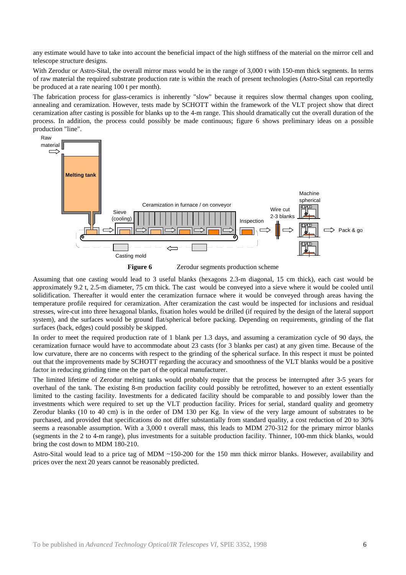any estimate would have to take into account the beneficial impact of the high stiffness of the material on the mirror cell and telescope structure designs.

With Zerodur or Astro-Sital, the overall mirror mass would be in the range of 3,000 t with 150-mm thick segments. In terms of raw material the required substrate production rate is within the reach of present technologies (Astro-Sital can reportedly be produced at a rate nearing 100 t per month).

The fabrication process for glass-ceramics is inherently "slow" because it requires slow thermal changes upon cooling, annealing and ceramization. However, tests made by SCHOTT within the framework of the VLT project show that direct ceramization after casting is possible for blanks up to the 4-m range. This should dramatically cut the overall duration of the process. In addition, the process could possibly be made continuous; figure 6 shows preliminary ideas on a possible production "line".





Assuming that one casting would lead to 3 useful blanks (hexagons 2.3-m diagonal, 15 cm thick), each cast would be approximately 9.2 t, 2.5-m diameter, 75 cm thick. The cast would be conveyed into a sieve where it would be cooled until solidification. Thereafter it would enter the ceramization furnace where it would be conveyed through areas having the temperature profile required for ceramization. After ceramization the cast would be inspected for inclusions and residual stresses, wire-cut into three hexagonal blanks, fixation holes would be drilled (if required by the design of the lateral support system), and the surfaces would be ground flat/spherical before packing. Depending on requirements, grinding of the flat surfaces (back, edges) could possibly be skipped.

In order to meet the required production rate of 1 blank per 1.3 days, and assuming a ceramization cycle of 90 days, the ceramization furnace would have to accommodate about 23 casts (for 3 blanks per cast) at any given time. Because of the low curvature, there are no concerns with respect to the grinding of the spherical surface. In this respect it must be pointed out that the improvements made by SCHOTT regarding the accuracy and smoothness of the VLT blanks would be a positive factor in reducing grinding time on the part of the optical manufacturer.

The limited lifetime of Zerodur melting tanks would probably require that the process be interrupted after 3-5 years for overhaul of the tank. The existing 8-m production facility could possibly be retrofitted, however to an extent essentially limited to the casting facility. Investments for a dedicated facility should be comparable to and possibly lower than the investments which were required to set up the VLT production facility. Prices for serial, standard quality and geometry Zerodur blanks (10 to 40 cm) is in the order of DM 130 per Kg. In view of the very large amount of substrates to be purchased, and provided that specifications do not differ substantially from standard quality, a cost reduction of 20 to 30% seems a reasonable assumption. With a 3,000 t overall mass, this leads to MDM 270-312 for the primary mirror blanks (segments in the 2 to 4-m range), plus investments for a suitable production facility. Thinner, 100-mm thick blanks, would bring the cost down to MDM 180-210.

Astro-Sital would lead to a price tag of MDM ~150-200 for the 150 mm thick mirror blanks. However, availability and prices over the next 20 years cannot be reasonably predicted.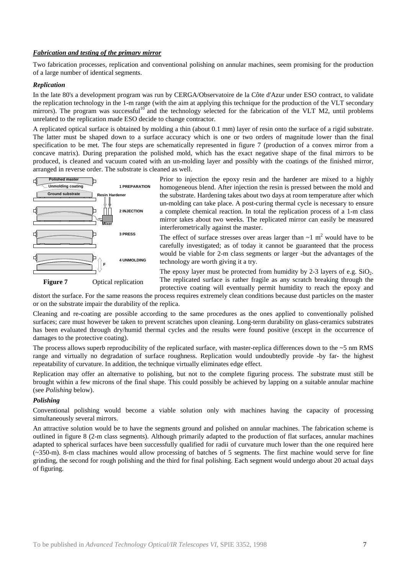## *Fabrication and testing of the primary mirror*

Two fabrication processes, replication and conventional polishing on annular machines, seem promising for the production of a large number of identical segments.

#### *Replication*

In the late 80's a development program was run by CERGA/Observatoire de la Côte d'Azur under ESO contract, to validate the replication technology in the 1-m range (with the aim at applying this technique for the production of the VLT secondary mirrors). The program was successful<sup>10</sup> and the technology selected for the fabrication of the VLT M2, until problems unrelated to the replication made ESO decide to change contractor.

A replicated optical surface is obtained by molding a thin (about 0.1 mm) layer of resin onto the surface of a rigid substrate. The latter must be shaped down to a surface accuracy which is one or two orders of magnitude lower than the final specification to be met. The four steps are schematically represented in figure 7 (production of a convex mirror from a concave matrix). During preparation the polished mold, which has the exact negative shape of the final mirrors to be produced, is cleaned and vacuum coated with an un-molding layer and possibly with the coatings of the finished mirror, arranged in reverse order. The substrate is cleaned as well.



Prior to injection the epoxy resin and the hardener are mixed to a highly homogeneous blend. After injection the resin is pressed between the mold and the substrate. Hardening takes about two days at room temperature after which un-molding can take place. A post-curing thermal cycle is necessary to ensure a complete chemical reaction. In total the replication process of a 1-m class mirror takes about two weeks. The replicated mirror can easily be measured interferometrically against the master.

The effect of surface stresses over areas larger than  $\sim$ 1 m<sup>2</sup> would have to be carefully investigated; as of today it cannot be guaranteed that the process would be viable for 2-m class segments or larger -but the advantages of the technology are worth giving it a try.

The epoxy layer must be protected from humidity by 2-3 layers of e.g.  $SiO<sub>2</sub>$ . The replicated surface is rather fragile as any scratch breaking through the protective coating will eventually permit humidity to reach the epoxy and

distort the surface. For the same reasons the process requires extremely clean conditions because dust particles on the master or on the substrate impair the durability of the replica.

Cleaning and re-coating are possible according to the same procedures as the ones applied to conventionally polished surfaces; care must however be taken to prevent scratches upon cleaning. Long-term durability on glass-ceramics substrates has been evaluated through dry/humid thermal cycles and the results were found positive (except in the occurrence of damages to the protective coating).

The process allows superb reproducibility of the replicated surface, with master-replica differences down to the  $\sim$ 5 nm RMS range and virtually no degradation of surface roughness. Replication would undoubtedly provide -by far- the highest repeatability of curvature. In addition, the technique virtually eliminates edge effect.

Replication may offer an alternative to polishing, but not to the complete figuring process. The substrate must still be brought within a few microns of the final shape. This could possibly be achieved by lapping on a suitable annular machine (see *Polishing* below).

## *Polishing*

Conventional polishing would become a viable solution only with machines having the capacity of processing simultaneously several mirrors.

An attractive solution would be to have the segments ground and polished on annular machines. The fabrication scheme is outlined in figure 8 (2-m class segments). Although primarily adapted to the production of flat surfaces, annular machines adapted to spherical surfaces have been successfully qualified for radii of curvature much lower than the one required here (~350-m). 8-m class machines would allow processing of batches of 5 segments. The first machine would serve for fine grinding, the second for rough polishing and the third for final polishing. Each segment would undergo about 20 actual days of figuring.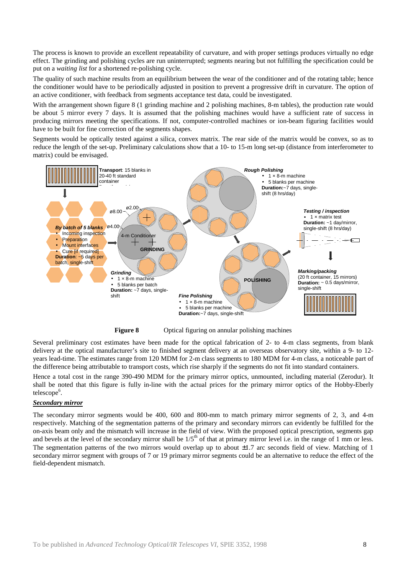The process is known to provide an excellent repeatability of curvature, and with proper settings produces virtually no edge effect. The grinding and polishing cycles are run uninterrupted; segments nearing but not fulfilling the specification could be put on a *waiting list* for a shortened re-polishing cycle.

The quality of such machine results from an equilibrium between the wear of the conditioner and of the rotating table; hence the conditioner would have to be periodically adjusted in position to prevent a progressive drift in curvature. The option of an active conditioner, with feedback from segments acceptance test data, could be investigated.

With the arrangement shown figure 8 (1 grinding machine and 2 polishing machines, 8-m tables), the production rate would be about 5 mirror every 7 days. It is assumed that the polishing machines would have a sufficient rate of success in producing mirrors meeting the specifications. If not, computer-controlled machines or ion-beam figuring facilities would have to be built for fine correction of the segments shapes.

Segments would be optically tested against a silica, convex matrix. The rear side of the matrix would be convex, so as to reduce the length of the set-up. Preliminary calculations show that a 10- to 15-m long set-up (distance from interferometer to matrix) could be envisaged.





**Figure 8** Optical figuring on annular polishing machines

Several preliminary cost estimates have been made for the optical fabrication of 2- to 4-m class segments, from blank delivery at the optical manufacturer's site to finished segment delivery at an overseas observatory site, within a 9- to 12 years lead-time. The estimates range from 120 MDM for 2-m class segments to 180 MDM for 4-m class, a noticeable part of the difference being attributable to transport costs, which rise sharply if the segments do not fit into standard containers.

Hence a total cost in the range 390-490 MDM for the primary mirror optics, unmounted, including material (Zerodur). It shall be noted that this figure is fully in-line with the actual prices for the primary mirror optics of the Hobby-Eberly telescope<sup>6</sup>.

## *Secondary mirror*

The secondary mirror segments would be 400, 600 and 800-mm to match primary mirror segments of 2, 3, and 4-m respectively. Matching of the segmentation patterns of the primary and secondary mirrors can evidently be fulfilled for the on-axis beam only and the mismatch will increase in the field of view. With the proposed optical prescription, segments gap and bevels at the level of the secondary mirror shall be  $1/5<sup>th</sup>$  of that at primary mirror level i.e. in the range of 1 mm or less. The segmentation patterns of the two mirrors would overlap up to about  $\pm 1.7$  arc seconds field of view. Matching of 1 secondary mirror segment with groups of 7 or 19 primary mirror segments could be an alternative to reduce the effect of the field-dependent mismatch.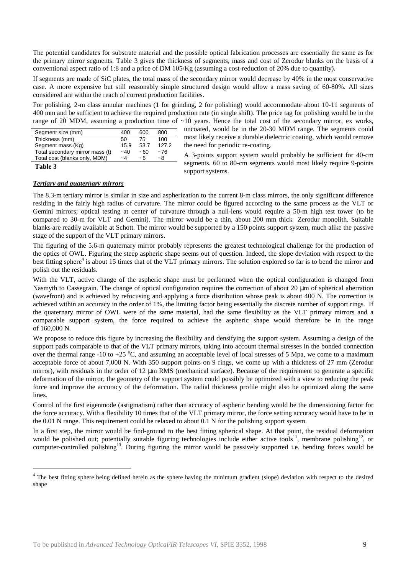The potential candidates for substrate material and the possible optical fabrication processes are essentially the same as for the primary mirror segments. Table 3 gives the thickness of segments, mass and cost of Zerodur blanks on the basis of a conventional aspect ratio of 1:8 and a price of DM 105/Kg (assuming a cost-reduction of 20% due to quantity).

If segments are made of SiC plates, the total mass of the secondary mirror would decrease by 40% in the most conservative case. A more expensive but still reasonably simple structured design would allow a mass saving of 60-80%. All sizes considered are within the reach of current production facilities.

For polishing, 2-m class annular machines (1 for grinding, 2 for polishing) would accommodate about 10-11 segments of 400 mm and be sufficient to achieve the required production rate (in single shift). The price tag for polishing would be in the range of 20 MDM, assuming a production time of  $\sim$ 10 years. Hence the total cost of the secondary mirror, ex works,

| Segment size (mm)               | 400   | 600  | 800   |
|---------------------------------|-------|------|-------|
| Thickness (mm)                  | 50.   | 75   | 100   |
| Segment mass (Kg)               | 15.9  | 53.7 | 127.2 |
| Total secondary mirror mass (t) | $-40$ | ~60  | $-76$ |
| Total cost (blanks only, MDM)   | $-4$  | -6   | -8    |
|                                 |       |      |       |

**Table 3**

l

uncoated, would be in the 20-30 MDM range. The segments could most likely receive a durable dielectric coating, which would remove the need for periodic re-coating.

A 3-points support system would probably be sufficient for 40-cm segments. 60 to 80-cm segments would most likely require 9-points support systems.

# *Tertiary and quaternary mirrors*

The 8.3-m tertiary mirror is similar in size and aspherization to the current 8-m class mirrors, the only significant difference residing in the fairly high radius of curvature. The mirror could be figured according to the same process as the VLT or Gemini mirrors; optical testing at center of curvature through a null-lens would require a 50-m high test tower (to be compared to 30-m for VLT and Gemini). The mirror would be a thin, about 200 mm thick Zerodur monolith. Suitable blanks are readily available at Schott. The mirror would be supported by a 150 points support system, much alike the passive stage of the support of the VLT primary mirrors.

The figuring of the 5.6-m quaternary mirror probably represents the greatest technological challenge for the production of the optics of OWL. Figuring the steep aspheric shape seems out of question. Indeed, the slope deviation with respect to the best fitting sphere<sup>4</sup> is about 15 times that of the VLT primary mirrors. The solution explored so far is to bend the mirror and polish out the residuals.

With the VLT, active change of the aspheric shape must be performed when the optical configuration is changed from Nasmyth to Cassegrain. The change of optical configuration requires the correction of about 20 µm of spherical aberration (wavefront) and is achieved by refocusing and applying a force distribution whose peak is about 400 N. The correction is achieved within an accuracy in the order of 1%, the limiting factor being essentially the discrete number of support rings. If the quaternary mirror of OWL were of the same material, had the same flexibility as the VLT primary mirrors and a comparable support system, the force required to achieve the aspheric shape would therefore be in the range of 160,000 N.

We propose to reduce this figure by increasing the flexibility and densifying the support system. Assuming a design of the support pads comparable to that of the VLT primary mirrors, taking into account thermal stresses in the bonded connection over the thermal range -10 to +25  $^{\circ}$ C, and assuming an acceptable level of local stresses of 5 Mpa, we come to a maximum acceptable force of about 7,000 N. With 350 support points on 9 rings, we come up with a thickness of 27 mm (Zerodur mirror), with residuals in the order of 12  $\mu$ m RMS (mechanical surface). Because of the requirement to generate a specific deformation of the mirror, the geometry of the support system could possibly be optimized with a view to reducing the peak force and improve the accuracy of the deformation. The radial thickness profile might also be optimized along the same lines.

Control of the first eigenmode (astigmatism) rather than accuracy of aspheric bending would be the dimensioning factor for the force accuracy. With a flexibility 10 times that of the VLT primary mirror, the force setting accuracy would have to be in the 0.01 N range. This requirement could be relaxed to about 0.1 N for the polishing support system.

In a first step, the mirror would be find-ground to the best fitting spherical shape. At that point, the residual deformation would be polished out; potentially suitable figuring technologies include either active tools<sup>11</sup>, membrane polishing<sup>12</sup>, or computer-controlled polishing<sup>13</sup>. During figuring the mirror would be passively supported i.e. bending forces would be

<sup>&</sup>lt;sup>4</sup> The best fitting sphere being defined herein as the sphere having the minimum gradient (slope) deviation with respect to the desired shape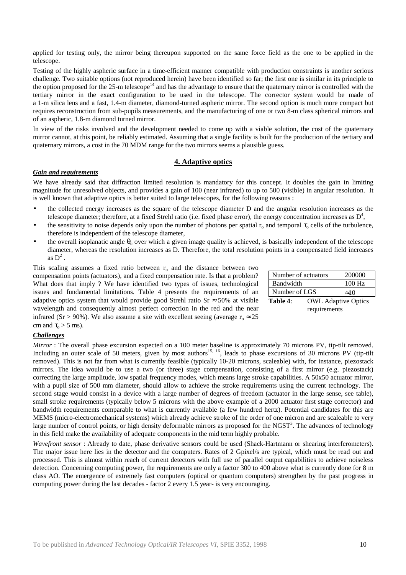applied for testing only, the mirror being thereupon supported on the same force field as the one to be applied in the telescope.

Testing of the highly aspheric surface in a time-efficient manner compatible with production constraints is another serious challenge. Two suitable options (not reproduced herein) have been identified so far; the first one is similar in its principle to the option proposed for the 25-m telescope<sup>14</sup> and has the advantage to ensure that the quaternary mirror is controlled with the tertiary mirror in the exact configuration to be used in the telescope. The corrector system would be made of a 1-m silica lens and a fast, 1.4-m diameter, diamond-turned aspheric mirror. The second option is much more compact but requires reconstruction from sub-pupils measurements, and the manufacturing of one or two 8-m class spherical mirrors and of an aspheric, 1.8-m diamond turned mirror.

In view of the risks involved and the development needed to come up with a viable solution, the cost of the quaternary mirror cannot, at this point, be reliably estimated. Assuming that a single facility is built for the production of the tertiary and quaternary mirrors, a cost in the 70 MDM range for the two mirrors seems a plausible guess.

## **4. Adaptive optics**

## *Gain and requirements*

We have already said that diffraction limited resolution is mandatory for this concept. It doubles the gain in limiting magnitude for unresolved objects, and provides a gain of 100 (near infrared) to up to 500 (visible) in angular resolution. It is well known that adaptive optics is better suited to large telescopes, for the following reasons :

- the collected energy increases as the square of the telescope diameter D and the angular resolution increases as the telescope diameter; therefore, at a fixed Strehl ratio (i.e. fixed phase error), the energy concentration increases as  $D^4$ ,
- the sensitivity to noise depends only upon the number of photons per spatial  $r_0$  and temporal  $\tau_0$  cells of the turbulence, therefore is independent of the telescope diameter,
- the overall isoplanatic angle  $\theta_0$  over which a given image quality is achieved, is basically independent of the telescope diameter, whereas the resolution increases as D. Therefore, the total resolution points in a compensated field increases as  $D^2$ .

This scaling assumes a fixed ratio between  $r_0$  and the distance between two compensation points (actuators), and a fixed compensation rate. Is that a problem? What does that imply ? We have identified two types of issues, technological issues and fundamental limitations. Table 4 presents the requirements of an adaptive optics system that would provide good Strehl ratio Sr  $\approx$  50% at visible wavelength and consequently almost perfect correction in the red and the near infrared (Sr > 90%). We also assume a site with excellent seeing (average  $r_0 \approx 25$ cm and  $\tau_0 > 5$  ms).

|               | Number of actuators        | 200000       |
|---------------|----------------------------|--------------|
| Bandwidth     |                            | $100$ Hz     |
| Number of LGS |                            | $\approx 10$ |
| Table 4:      | <b>OWL</b> Adaptive Optics |              |

requirements

## *Challenges*

*Mirror* : The overall phase excursion expected on a 100 meter baseline is approximately 70 microns PV, tip-tilt removed. Including an outer scale of 50 meters, given by most authors<sup>15, 16</sup>, leads to phase excursions of 30 microns PV (tip-tilt removed). This is not far from what is currently feasible (typically 10-20 microns, scaleable) with, for instance, piezostack mirrors. The idea would be to use a two (or three) stage compensation, consisting of a first mirror (e.g. piezostack) correcting the large amplitude, low spatial frequency modes, which means large stroke capabilities. A 50x50 actuator mirror, with a pupil size of 500 mm diameter, should allow to achieve the stroke requirements using the current technology. The second stage would consist in a device with a large number of degrees of freedom (actuator in the large sense, see table), small stroke requirements (typically below 5 microns with the above example of a 2000 actuator first stage corrector) and bandwidth requirements comparable to what is currently available (a few hundred hertz). Potential candidates for this are MEMS (micro-electromechanical systems) which already achieve stroke of the order of one micron and are scaleable to very large number of control points, or high density deformable mirrors as proposed for the NGST<sup>3</sup>. The advances of technology in this field make the availability of adequate components in the mid term highly probable.

*Wavefront sensor* : Already to date, phase derivative sensors could be used (Shack-Hartmann or shearing interferometers). The major issue here lies in the detector and the computers. Rates of 2 Gpixel/s are typical, which must be read out and processed. This is almost within reach of current detectors with full use of parallel output capabilities to achieve noiseless detection. Concerning computing power, the requirements are only a factor 300 to 400 above what is currently done for 8 m class AO. The emergence of extremely fast computers (optical or quantum computers) strengthen by the past progress in computing power during the last decades - factor 2 every 1.5 year- is very encouraging.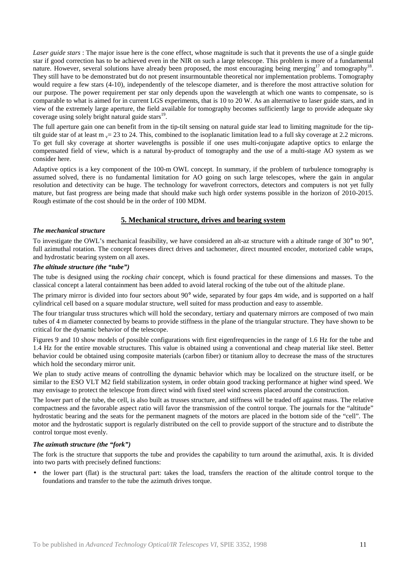*Laser guide stars* : The major issue here is the cone effect, whose magnitude is such that it prevents the use of a single guide star if good correction has to be achieved even in the NIR on such a large telescope. This problem is more of a fundamental nature. However, several solutions have already been proposed, the most encouraging being merging<sup>17</sup> and tomography<sup>18</sup>. They still have to be demonstrated but do not present insurmountable theoretical nor implementation problems. Tomography would require a few stars (4-10), independently of the telescope diameter, and is therefore the most attractive solution for our purpose. The power requirement per star only depends upon the wavelength at which one wants to compensate, so is comparable to what is aimed for in current LGS experiments, that is 10 to 20 W. As an alternative to laser guide stars, and in view of the extremely large aperture, the field available for tomography becomes sufficiently large to provide adequate sky coverage using solely bright natural guide stars<sup>19</sup>.

The full aperture gain one can benefit from in the tip-tilt sensing on natural guide star lead to limiting magnitude for the tiptilt guide star of at least m  $v = 23$  to 24. This, combined to the isoplanatic limitation lead to a full sky coverage at 2.2 microns. To get full sky coverage at shorter wavelengths is possible if one uses multi-conjugate adaptive optics to enlarge the compensated field of view, which is a natural by-product of tomography and the use of a multi-stage AO system as we consider here.

Adaptive optics is a key component of the 100-m OWL concept. In summary, if the problem of turbulence tomography is assumed solved, there is no fundamental limitation for AO going on such large telescopes, where the gain in angular resolution and detectivity can be huge. The technology for wavefront correctors, detectors and computers is not yet fully mature, but fast progress are being made that should make such high order systems possible in the horizon of 2010-2015. Rough estimate of the cost should be in the order of 100 MDM.

# **5. Mechanical structure, drives and bearing system**

## *The mechanical structure*

To investigate the OWL's mechanical feasibility, we have considered an alt-az structure with a altitude range of 30° to 90°, full azimuthal rotation. The concept foresees direct drives and tachometer, direct mounted encoder, motorized cable wraps, and hydrostatic bearing system on all axes.

## *The altitude structure (the "tube")*

The tube is designed using the *rocking chair* concept, which is found practical for these dimensions and masses. To the classical concept a lateral containment has been added to avoid lateral rocking of the tube out of the altitude plane.

The primary mirror is divided into four sectors about 90° wide, separated by four gaps 4m wide, and is supported on a half cylindrical cell based on a square modular structure, well suited for mass production and easy to assemble.

The four triangular truss structures which will hold the secondary, tertiary and quaternary mirrors are composed of two main tubes of 4 m diameter connected by beams to provide stiffness in the plane of the triangular structure. They have shown to be critical for the dynamic behavior of the telescope.

Figures 9 and 10 show models of possible configurations with first eigenfrequencies in the range of 1.6 Hz for the tube and 1.4 Hz for the entire movable structures. This value is obtained using a conventional and cheap material like steel. Better behavior could be obtained using composite materials (carbon fiber) or titanium alloy to decrease the mass of the structures which hold the secondary mirror unit.

We plan to study active means of controlling the dynamic behavior which may be localized on the structure itself, or be similar to the ESO VLT M2 field stabilization system, in order obtain good tracking performance at higher wind speed. We may envisage to protect the telescope from direct wind with fixed steel wind screens placed around the construction.

The lower part of the tube, the cell, is also built as trusses structure, and stiffness will be traded off against mass. The relative compactness and the favorable aspect ratio will favor the transmission of the control torque. The journals for the "altitude" hydrostatic bearing and the seats for the permanent magnets of the motors are placed in the bottom side of the "cell". The motor and the hydrostatic support is regularly distributed on the cell to provide support of the structure and to distribute the control torque most evenly.

## *The azimuth structure (the "fork")*

The fork is the structure that supports the tube and provides the capability to turn around the azimuthal, axis. It is divided into two parts with precisely defined functions:

• the lower part (flat) is the structural part: takes the load, transfers the reaction of the altitude control torque to the foundations and transfer to the tube the azimuth drives torque.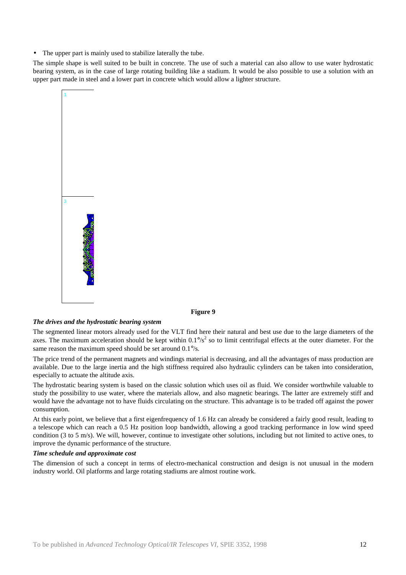• The upper part is mainly used to stabilize laterally the tube.

The simple shape is well suited to be built in concrete. The use of such a material can also allow to use water hydrostatic bearing system, as in the case of large rotating building like a stadium. It would be also possible to use a solution with an upper part made in steel and a lower part in concrete which would allow a lighter structure.



#### **Figure 9**

#### *The drives and the hydrostatic bearing system*

The segmented linear motors already used for the VLT find here their natural and best use due to the large diameters of the axes. The maximum acceleration should be kept within  $0.1\frac{9}{s^2}$  so to limit centrifugal effects at the outer diameter. For the same reason the maximum speed should be set around 0.1°/s.

The price trend of the permanent magnets and windings material is decreasing, and all the advantages of mass production are available. Due to the large inertia and the high stiffness required also hydraulic cylinders can be taken into consideration, especially to actuate the altitude axis.

The hydrostatic bearing system is based on the classic solution which uses oil as fluid. We consider worthwhile valuable to study the possibility to use water, where the materials allow, and also magnetic bearings. The latter are extremely stiff and would have the advantage not to have fluids circulating on the structure. This advantage is to be traded off against the power consumption.

At this early point, we believe that a first eigenfrequency of 1.6 Hz can already be considered a fairly good result, leading to a telescope which can reach a 0.5 Hz position loop bandwidth, allowing a good tracking performance in low wind speed condition (3 to 5 m/s). We will, however, continue to investigate other solutions, including but not limited to active ones, to improve the dynamic performance of the structure.

## *Time schedule and approximate cost*

The dimension of such a concept in terms of electro-mechanical construction and design is not unusual in the modern industry world. Oil platforms and large rotating stadiums are almost routine work.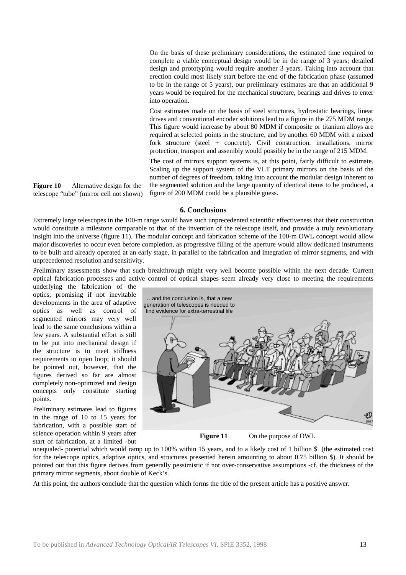On the basis of these preliminary considerations, the estimated time required to complete a viable conceptual design would be in the range of 3 years; detailed design and prototyping would require another 3 years. Taking into account that erection could most likely start before the end of the fabrication phase (assumed to be in the range of 5 years), our preliminary estimates are that an additional 9 years would be required for the mechanical structure, bearings and drives to enter into operation.

Cost estimates made on the basis of steel structures, hydrostatic bearings, linear drives and conventional encoder solutions lead to a figure in the 275 MDM range. This figure would increase by about 80 MDM if composite or titanium alloys are required at selected points in the structure, and by another 60 MDM with a mixed fork structure (steel + concrete). Civil construction, installations, mirror protection, transport and assembly would possibly be in the range of 215 MDM.

The cost of mirrors support systems is, at this point, fairly difficult to estimate. Scaling up the support system of the VLT primary mirrors on the basis of the number of degrees of freedom, taking into account the modular design inherent to the segmented solution and the large quantity of identical items to be produced, a figure of 200 MDM could be a plausible guess.

telescope "tube" (mirror cell not shown)

Extremely large telescopes in the 100-m range would have such unprecedented scientific effectiveness that their construction would constitute a milestone comparable to that of the invention of the telescope itself, and provide a truly revolutionary insight into the universe (figure 11). The modular concept and fabrication scheme of the 100-m OWL concept would allow major discoveries to occur even before completion, as progressive filling of the aperture would allow dedicated instruments to be built and already operated at an early stage, in parallel to the fabrication and integration of mirror segments, and with unprecedented resolution and sensitivity.

**6. Conclusions**

Preliminary assessments show that such breakthrough might very well become possible within the next decade. Current optical fabrication processes and active control of optical shapes seem already very close to meeting the requirements

underlying the fabrication of the optics; promising if not inevitable developments in the area of adaptive optics as well as control of segmented mirrors may very well lead to the same conclusions within a few years. A substantial effort is still to be put into mechanical design if the structure is to meet stiffness requirements in open loop; it should be pointed out, however, that the figures derived so far are almost completely non-optimized and design concepts only constitute starting points.

**Figure 10** Alternative design for the

Preliminary estimates lead to figures in the range of 10 to 15 years for fabrication, with a possible start of science operation within 9 years after start of fabrication, at a limited -but



**Figure 11** On the purpose of OWL

unequaled- potential which would ramp up to 100% within 15 years, and to a likely cost of 1 billion \$ (the estimated cost for the telescope optics, adaptive optics, and structures presented herein amounting to about 0.75 billion \$). It should be pointed out that this figure derives from generally pessimistic if not over-conservative assumptions -cf. the thickness of the primary mirror segments, about double of Keck's.

At this point, the authors conclude that the question which forms the title of the present article has a positive answer.